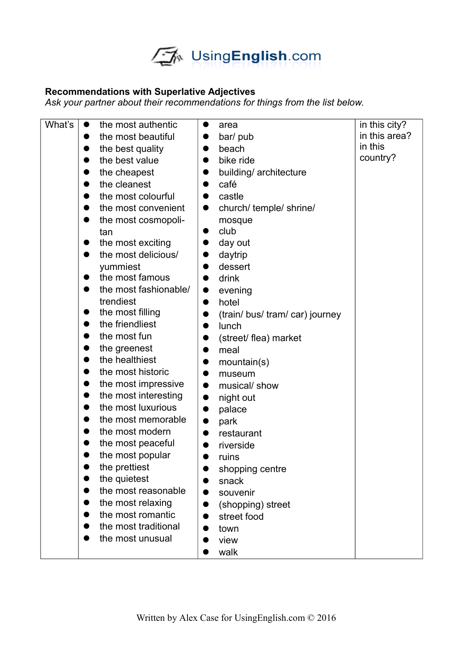

## **Recommendations with Superlative Adjectives**

*Ask your partner about their recommendations for things from the list below.*

| What's | the most authentic<br>$\bullet$ | area<br>$\bullet$               | in this city? |
|--------|---------------------------------|---------------------------------|---------------|
|        | the most beautiful              | bar/ pub                        | in this area? |
|        | the best quality                | beach                           | in this       |
|        | the best value                  | bike ride                       | country?      |
|        | the cheapest<br>O               | building/ architecture<br>●     |               |
|        | the cleanest                    | café                            |               |
|        | the most colourful<br>●         | castle<br>●                     |               |
|        | the most convenient             | church/ temple/ shrine/<br>●    |               |
|        | the most cosmopoli-<br>●        | mosque                          |               |
|        | tan                             | club                            |               |
|        | the most exciting               | day out                         |               |
|        | the most delicious/<br>0        | daytrip                         |               |
|        | yummiest                        | dessert                         |               |
|        | the most famous<br>●            | drink                           |               |
|        | the most fashionable/           | evening<br>$\bullet$            |               |
|        | trendiest                       | hotel<br>$\bullet$              |               |
|        | the most filling<br>●           | (train/ bus/ tram/ car) journey |               |
|        | the friendliest                 | lunch                           |               |
|        | the most fun<br>●               | (street/ flea) market           |               |
|        | the greenest                    | meal                            |               |
|        | the healthiest                  | mountain(s)                     |               |
|        | the most historic               | museum                          |               |
|        | the most impressive<br>●        | musical/show                    |               |
|        | the most interesting            | night out<br>●                  |               |
|        | the most luxurious              | palace                          |               |
|        | the most memorable              | park<br>●                       |               |
|        | the most modern                 | restaurant                      |               |
|        | the most peaceful               | riverside<br>●                  |               |
|        | the most popular                | ruins                           |               |
|        | the prettiest                   | shopping centre                 |               |
|        | the quietest                    | snack                           |               |
|        | the most reasonable             | souvenir                        |               |
|        | the most relaxing               | (shopping) street               |               |
|        | the most romantic               | street food                     |               |
|        | the most traditional            | town                            |               |
|        | the most unusual                | view                            |               |
|        |                                 | walk                            |               |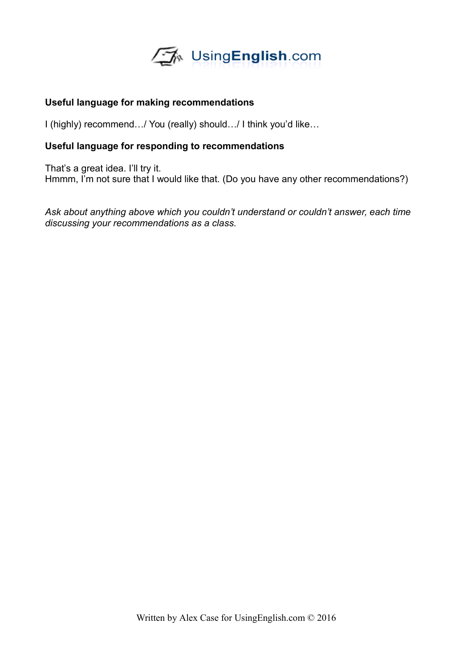

## **Useful language for making recommendations**

I (highly) recommend…/ You (really) should…/ I think you'd like…

## **Useful language for responding to recommendations**

That's a great idea. I'll try it. Hmmm, I'm not sure that I would like that. (Do you have any other recommendations?)

*Ask about anything above which you couldn't understand or couldn't answer, each time discussing your recommendations as a class.*